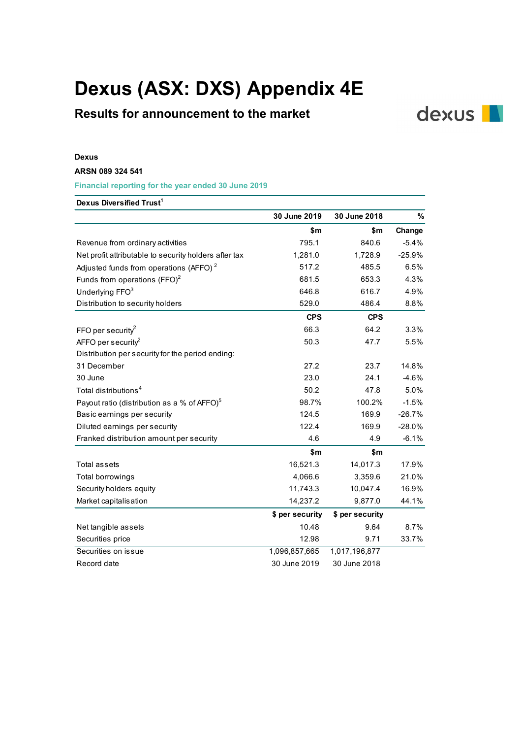# Dexus (ASX: DXS) Appendix 4E

## Results for announcement to the market

#### Dexus

### ARSN 089 324 541

| Dexus (ASX: DXS) Appendix 4E                            |                 |                 |              |
|---------------------------------------------------------|-----------------|-----------------|--------------|
|                                                         |                 |                 |              |
| <b>Results for announcement to the market</b>           |                 |                 | <b>dexus</b> |
|                                                         |                 |                 |              |
|                                                         |                 |                 |              |
| <b>Dexus</b>                                            |                 |                 |              |
| ARSN 089 324 541                                        |                 |                 |              |
| Financial reporting for the year ended 30 June 2019     |                 |                 |              |
| Dexus Diversified Trust <sup>1</sup>                    |                 |                 |              |
|                                                         | 30 June 2019    | 30 June 2018    | $\%$         |
|                                                         | \$m             | \$m             | Change       |
| Revenue from ordinary activities                        | 795.1           | 840.6           | $-5.4%$      |
| Net profit attributable to security holders after tax   | 1,281.0         | 1,728.9         | $-25.9%$     |
| Adjusted funds from operations (AFFO) <sup>2</sup>      | 517.2           | 485.5           | 6.5%         |
| Funds from operations $(FFO)^2$                         | 681.5           | 653.3           | 4.3%         |
| Underlying FFO <sup>3</sup>                             | 646.8           | 616.7           | 4.9%         |
| Distribution to security holders                        | 529.0           | 486.4           | 8.8%         |
|                                                         | <b>CPS</b>      | <b>CPS</b>      |              |
| FFO per security <sup>2</sup>                           | 66.3            | 64.2            | 3.3%         |
| AFFO per security <sup>2</sup>                          | 50.3            | 47.7            | 5.5%         |
| Distribution per security for the period ending:        |                 |                 |              |
| 31 December                                             | 27.2            | 23.7            | 14.8%        |
| 30 June                                                 | 23.0            | 24.1            | $-4.6%$      |
| Total distributions <sup>4</sup>                        | 50.2            | 47.8            | 5.0%         |
| Payout ratio (distribution as a % of AFFO) <sup>5</sup> | 98.7%           | 100.2%          | $-1.5%$      |
| Basic earnings per security                             | 124.5           | 169.9           | $-26.7%$     |
| Diluted earnings per security                           | 122.4           | 169.9           | $-28.0%$     |
| Franked distribution amount per security                | 4.6             | 4.9             | $-6.1%$      |
|                                                         | \$m\$           | \$m             |              |
| Total assets                                            | 16,521.3        | 14,017.3        | 17.9%        |
| Total borrowings                                        | 4,066.6         | 3,359.6         | 21.0%        |
| Security holders equity                                 | 11,743.3        | 10,047.4        | 16.9%        |
| Market capitalisation                                   | 14,237.2        | 9,877.0         | 44.1%        |
|                                                         | \$ per security | \$ per security |              |
| Net tangible assets                                     | 10.48           | 9.64            | 8.7%         |
| Securities price                                        | 12.98           | 9.71            | 33.7%        |
| Securities on issue                                     | 1,096,857,665   | 1,017,196,877   |              |
| Record date                                             | 30 June 2019    | 30 June 2018    |              |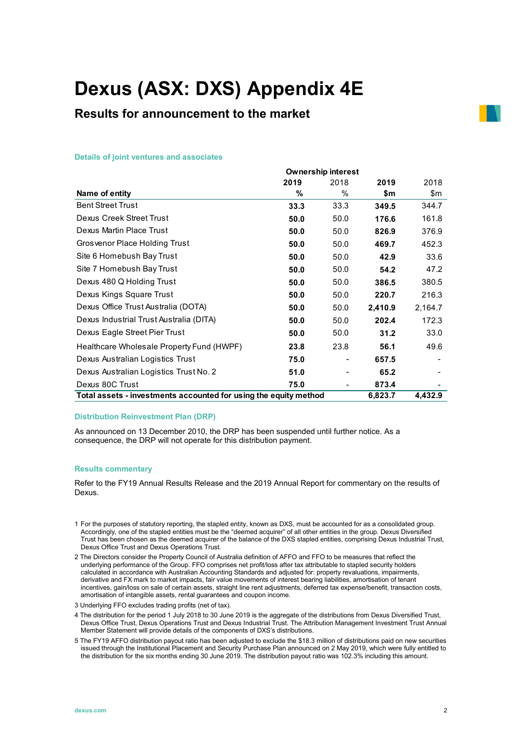# Dexus (ASX: DXS) Appendix 4E

### Results for announcement to the market

#### Details of joint ventures and associates

| Dexus (ASX: DXS) Appendix 4E                                     |        |                                   |             |         |
|------------------------------------------------------------------|--------|-----------------------------------|-------------|---------|
|                                                                  |        |                                   |             |         |
| <b>Results for announcement to the market</b>                    |        |                                   |             |         |
|                                                                  |        |                                   |             |         |
|                                                                  |        |                                   |             |         |
| <b>Details of joint ventures and associates</b>                  |        |                                   |             |         |
|                                                                  |        |                                   |             |         |
|                                                                  | 2019   | <b>Ownership interest</b><br>2018 |             | 2018    |
| Name of entity                                                   | %      | %                                 | 2019<br>\$m | \$m     |
| <b>Bent Street Trust</b>                                         | 33.3   | 33.3                              | 349.5       | 344.7   |
| <b>Dexus Creek Street Trust</b>                                  | 50.0   | 50.0                              | 176.6       | 161.8   |
| Dexus Martin Place Trust                                         | 50.0   | 50.0                              | 826.9       | 376.9   |
| Grosvenor Place Holding Trust                                    | 50.0   | 50.0                              | 469.7       | 452.3   |
| Site 6 Homebush Bay Trust                                        | $50.0$ | 50.0                              | 42.9        | 33.6    |
| Site 7 Homebush Bay Trust                                        | 50.0   | 50.0                              | 54.2        | 47.2    |
| Dexus 480 Q Holding Trust                                        | 50.0   | 50.0                              | 386.5       | 380.5   |
| Dexus Kings Square Trust                                         | 50.0   | 50.0                              | 220.7       | 216.3   |
| Dexus Office Trust Australia (DOTA)                              | 50.0   | 50.0                              | 2,410.9     | 2,164.7 |
| Dexus Industrial Trust Australia (DITA)                          | 50.0   | 50.0                              | 202.4       | 172.3   |
| Dexus Eagle Street Pier Trust                                    | 50.0   | 50.0                              | 31.2        | 33.0    |
| Healthcare Wholesale Property Fund (HWPF)                        | 23.8   | 23.8                              | 56.1        | 49.6    |
| Dexus Australian Logistics Trust                                 | 75.0   | $\overline{\phantom{a}}$          | 657.5       |         |
| Dexus Australian Logistics Trust No. 2                           | 51.0   |                                   | 65.2        |         |
| Dexus 80C Trust                                                  | 75.0   |                                   | 873.4       |         |
| Total assets - investments accounted for using the equity method |        |                                   | 6,823.7     | 4,432.9 |

#### Distribution Reinvestment Plan (DRP)

As announced on 13 December 2010, the DRP has been suspended until further notice. As a consequence, the DRP will not operate for this distribution payment.

#### Results commentary

Refer to the FY19 Annual Results Release and the 2019 Annual Report for commentary on the results of Dexus.

- 1 For the purposes of statutory reporting, the stapled entity, known as DXS, must be accounted for as a consolidated group. Accordingly, one of the stapled entities must be the "deemed acquirer" of all other entities in the group. Dexus Diversified Trust has been chosen as the deemed acquirer of the balance of the DXS stapled entities, comprising Dexus Industrial Trust, Dexus Office Trust and Dexus Operations Trust.
- 2 The Directors consider the Property Council of Australia definition of AFFO and FFO to be measures that reflect the underlying performance of the Group. FFO comprises net profit/loss after tax attributable to stapled security holders calculated in accordance with Australian Accounting Standards and adjusted for: property revaluations, impairments, derivative and FX mark to market impacts, fair value movements of interest bearing liabilities, amortisation of tenant incentives, gain/loss on sale of certain assets, straight line rent adjustments, deferred tax expense/benefit, transaction costs, amortisation of intangible assets, rental guarantees and coupon income.
- 3 Underlying FFO excludes trading profits (net of tax).
- 4 The distribution for the period 1 July 2018 to 30 June 2019 is the aggregate of the distributions from Dexus Diversified Trust, Dexus Office Trust, Dexus Operations Trust and Dexus Industrial Trust. The Attribution Management Investment Trust Annual Member Statement will provide details of the components of DXS's distributions.
- 5 The FY19 AFFO distribution payout ratio has been adjusted to exclude the \$18.3 million of distributions paid on new securities issued through the Institutional Placement and Security Purchase Plan announced on 2 May 2019, which were fully entitled to the distribution for the six months ending 30 June 2019. The distribution payout ratio was 102.3% including this amount.